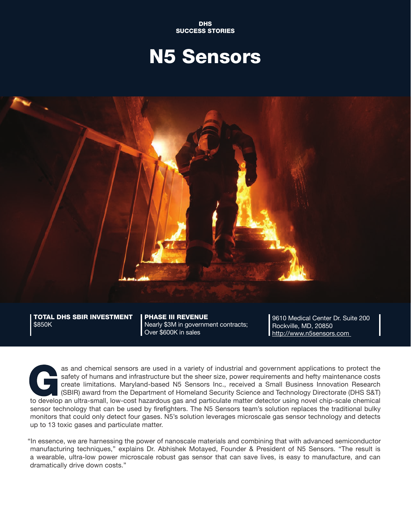DHS SUCCESS STORIES

## N5 Sensors



TOTAL DHS SBIR INVESTMENT | PHASE III REVENUE | 9610 Medical Center Dr. Suite 200<br>\$850K | Nearly \$3M in government contracts; | Rockville, MD, 20850 Nearly \$3M in government contracts;<br>Over \$600K in sales

http://www.n5sensors.com

as and chemical sensors are used in a variety of industrial and government applications to protect the safety of humans and infrastructure but the sheer size, power requirements and hefty maintenance costs create limitatio safety of humans and infrastructure but the sheer size, power requirements and hefty maintenance costs create limitations. Maryland-based N5 Sensors Inc., received a Small Business Innovation Research (SBIR) award from the Department of Homeland Security Science and Technology Directorate (DHS S&T) to develop an ultra-small, low-cost hazardous gas and particulate matter detector using novel chip-scale chemical sensor technology that can be used by firefighters. The N5 Sensors team's solution replaces the traditional bulky monitors that could only detect four gases. N5's solution leverages microscale gas sensor technology and detects up to 13 toxic gases and particulate matter.

"In essence, we are harnessing the power of nanoscale materials and combining that with advanced semiconductor manufacturing techniques," explains Dr. Abhishek Motayed, Founder & President of N5 Sensors. "The result is a wearable, ultra-low power microscale robust gas sensor that can save lives, is easy to manufacture, and can dramatically drive down costs."